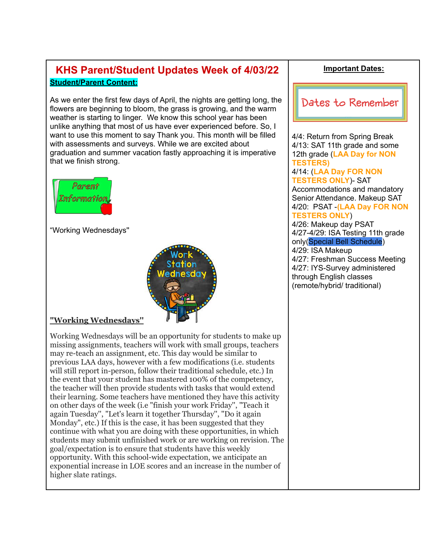# **KHS Parent/Student Updates Week of 4/03/22 Student/Parent Content:**

As we enter the first few days of April, the nights are getting long, the flowers are beginning to bloom, the grass is growing, and the warm weather is starting to linger. We know this school year has been unlike anything that most of us have ever experienced before. So, I want to use this moment to say Thank you. This month will be filled with assessments and surveys. While we are excited about graduation and summer vacation fastly approaching it is imperative that we finish strong.



"Working Wednesdays''



#### **"Working Wednesdays''**

Working Wednesdays will be an opportunity for students to make up missing assignments, teachers will work with small groups, teachers may re-teach an assignment, etc. This day would be similar to previous LAA days, however with a few modifications (i.e. students will still report in-person, follow their traditional schedule, etc.) In the event that your student has mastered 100% of the competency, the teacher will then provide students with tasks that would extend their learning. Some teachers have mentioned they have this activity on other days of the week (i.e "finish your work Friday'', "Teach it again Tuesday'', "Let's learn it together Thursday'', "Do it again Monday", etc.) If this is the case, it has been suggested that they continue with what you are doing with these opportunities, in which students may submit unfinished work or are working on revision. The goal/expectation is to ensure that students have this weekly opportunity. With this school-wide expectation, we anticipate an exponential increase in LOE scores and an increase in the number of higher slate ratings.

#### **Important Dates:**



4/4: Return from Spring Break 4/13: SAT 11th grade and some 12th grade (**LAA Day for NON TESTERS)** 4/14: (**LAA Day FOR NON TESTERS ONLY**)- SAT Accommodations and mandatory Senior Attendance. Makeup SAT 4/20: PSAT -**(LAA Day FOR NON TESTERS ONLY**) 4/26: Makeup day PSAT 4/27-4/29: ISA Testing 11th grade only(Special Bell Schedule) 4/29: ISA Makeup 4/27: Freshman Success Meeting 4/27: IYS-Survey administered through English classes (remote/hybrid/ traditional)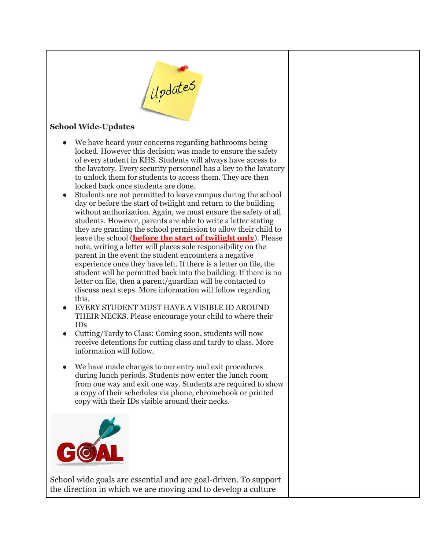

#### **School Wide-Updates**

- We have heard your concerns regarding bathrooms being locked. However this decision was made to ensure the safety of every student in KHS. Students will always have access to the lavatory. Every security personnel has a key to the lavatory to unlock them for students to access them. They are then locked back once students are done.
- Students are not permitted to leave campus during the school day or before the start of twilight and return to the building without authorization. Again, we must ensure the safety of all students. However, parents are able to write a letter stating they are granting the school permission to allow their child to leave the school (**before the start of twilight only**). Please note, writing a letter will places sole responsibility on the parent in the event the student encounters a negative experience once they have left. If there is a letter on file, the student will be permitted back into the building. If there is no letter on file, then a parent/guardian will be contacted to discuss next steps. More information will follow regarding this.
- EVERY STUDENT MUST HAVE A VISIBLE ID AROUND THEIR NECKS. Please encourage your child to where their IDs
- Cutting/Tardy to Class: Coming soon, students will now receive detentions for cutting class and tardy to class. More information will follow.
- We have made changes to our entry and exit procedures during lunch periods. Students now enter the lunch room from one way and exit one way. Students are required to show a copy of their schedules via phone, chromebook or printed copy with their IDs visible around their necks.



School wide goals are essential and are goal-driven. To support the direction in which we are moving and to develop a culture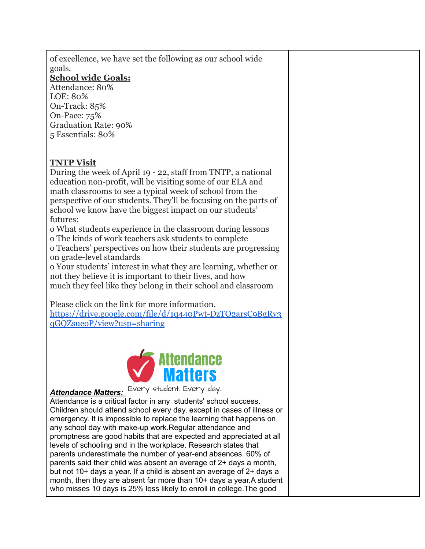of excellence, we have set the following as our school wide goals.

#### **School wide Goals:**

Attendance: 80% LOE: 80% On-Track: 85% On-Pace: 75% Graduation Rate: 90% 5 Essentials: 80%

## **TNTP Visit**

During the week of April 19 - 22, staff from TNTP, a national education non-profit, will be visiting some of our ELA and math classrooms to see a typical week of school from the perspective of our students. They'll be focusing on the parts of school we know have the biggest impact on our students' futures:

o What students experience in the classroom during lessons o The kinds of work teachers ask students to complete

o Teachers' perspectives on how their students are progressing on grade-level standards

o Your students' interest in what they are learning, whether or not they believe it is important to their lives, and how much they feel like they belong in their school and classroom

Please click on the link for more information.

[https://drive.google.com/file/d/1q440Pwt-DzTO2arsC9BgRv3](https://drive.google.com/file/d/1q440Pwt-DzTO2arsC9BgRv3qGQZsueoP/view?usp=sharing) [qGQZsueoP/view?usp=sharing](https://drive.google.com/file/d/1q440Pwt-DzTO2arsC9BgRv3qGQZsueoP/view?usp=sharing)



*Attendance Matters:*

Attendance is a critical factor in any students' school success. Children should attend school every day, except in cases of illness or emergency. It is impossible to replace the learning that happens on any school day with make-up work.Regular attendance and promptness are good habits that are expected and appreciated at all levels of schooling and in the workplace. Research states that parents underestimate the number of year-end absences. 60% of parents said their child was absent an average of 2+ days a month, but not 10+ days a year. If a child is absent an average of 2+ days a month, then they are absent far more than 10+ days a year.A student who misses 10 days is 25% less likely to enroll in college.The good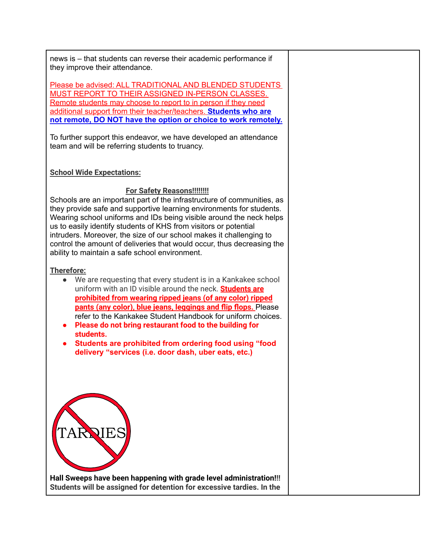news is – that students can reverse their academic performance if they improve their attendance.

Please be advised: ALL TRADITIONAL AND BLENDED STUDENTS MUST REPORT TO THEIR ASSIGNED IN-PERSON CLASSES. Remote students may choose to report to in person if they need additional support from their teacher/teachers. **Students who are not remote, DO NOT have the option or choice to work remotely.**

To further support this endeavor, we have developed an attendance team and will be referring students to truancy.

#### **School Wide Expectations:**

#### **For Safety Reasons!!!!!!!!**

Schools are an important part of the infrastructure of communities, as they provide safe and supportive learning environments for students. Wearing school uniforms and IDs being visible around the neck helps us to easily identify students of KHS from visitors or potential intruders. Moreover, the size of our school makes it challenging to control the amount of deliveries that would occur, thus decreasing the ability to maintain a safe school environment.

#### **Therefore:**

- We are requesting that every student is in a Kankakee school uniform with an ID visible around the neck. **Students are prohibited from wearing ripped jeans (of any color) ripped pants (any color), blue jeans, leggings and flip flops.** Please refer to the Kankakee Student Handbook for uniform choices.
- **● Please do not bring restaurant food to the building for students.**
- **● Students are prohibited from ordering food using "food delivery "services (i.e. door dash, uber eats, etc.)**



**Hall Sweeps have been happening with grade level administration!!! Students will be assigned for detention for excessive tardies. In the**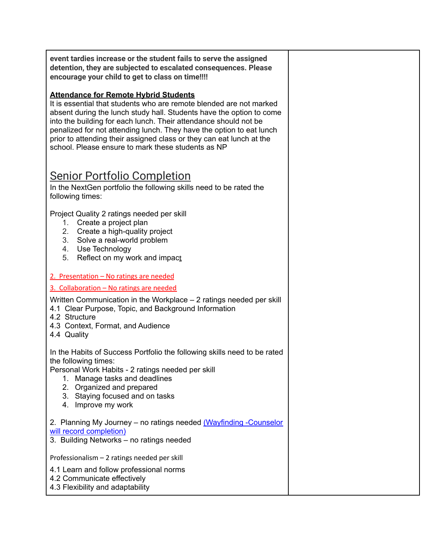**event tardies increase or the student fails to serve the assigned detention, they are subjected to escalated consequences. Please encourage your child to get to class on time!!!!**

#### **Attendance for Remote Hybrid Students**

It is essential that students who are remote blended are not marked absent during the lunch study hall. Students have the option to come into the building for each lunch. Their attendance should not be penalized for not attending lunch. They have the option to eat lunch prior to attending their assigned class or they can eat lunch at the school. Please ensure to mark these students as NP

# Senior Portfolio Completion

In the NextGen portfolio the following skills need to be rated the following times:

Project Quality 2 ratings needed per skill

- 1. Create a project plan
- 2. Create a high-quality project
- 3. Solve a real-world problem
- 4. Use Technology
- 5. Reflect on my work and impact
- 2. Presentation No ratings are needed
- 3. Collaboration No ratings are needed

Written Communication in the Workplace – 2 ratings needed per skill

- 4.1 Clear Purpose, Topic, and Background Information
- 4.2 Structure
- 4.3 Context, Format, and Audience
- 4.4 Quality

In the Habits of Success Portfolio the following skills need to be rated the following times:

Personal Work Habits - 2 ratings needed per skill

- 1. Manage tasks and deadlines
- 2. Organized and prepared
- 3. Staying focused and on tasks
- 4. Improve my work

2. Planning My Journey - no ratings needed (Wayfinding -Counselor will record completion)

3. Building Networks – no ratings needed

Professionalism – 2 ratings needed per skill

4.1 Learn and follow professional norms

- 4.2 Communicate effectively
- 4.3 Flexibility and adaptability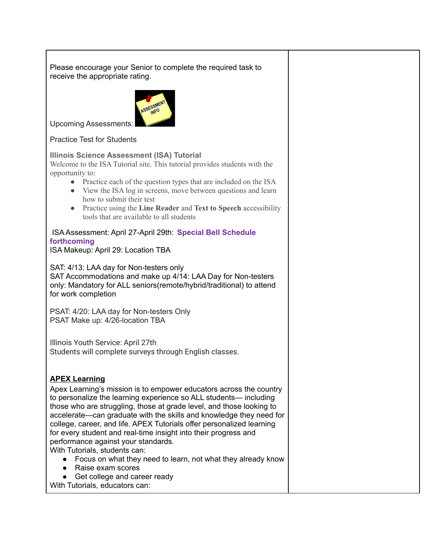Please encourage your Senior to complete the required task to receive the appropriate rating.



Upcoming Assessments:

Practice Test for Students

#### **Illinois Science Assessment (ISA) Tutorial**

Welcome to the ISA Tutorial site. This tutorial provides students with the opportunity to:

- Practice each of the question types that are included on the ISA
- View the ISA log in screens, move between questions and learn how to submit their test
- Practice using the **Line Reader** and **Text to Speech** accessibility tools that are available to all students

#### ISA Assessment: April 27-April 29th: **Special Bell Schedule forthcoming**

ISA Makeup: April 29: Location TBA

SAT: 4/13: LAA day for Non-testers only

SAT Accommodations and make up 4/14: LAA Day for Non-testers only: Mandatory for ALL seniors(remote/hybrid/traditional) to attend for work completion

PSAT: 4/20: LAA day for Non-testers Only PSAT Make up: 4/26-location TBA

Illinois Youth Service: April 27th Students will complete surveys through English classes.

#### **APEX Learning**

Apex Learning's mission is to empower educators across the country to personalize the learning experience so ALL students— including those who are struggling, those at grade level, and those looking to accelerate—can graduate with the skills and knowledge they need for college, career, and life. APEX Tutorials offer personalized learning for every student and real-time insight into their progress and performance against your standards.

With Tutorials, students can:

- Focus on what they need to learn, not what they already know
- Raise exam scores
- Get college and career ready

With Tutorials, educators can: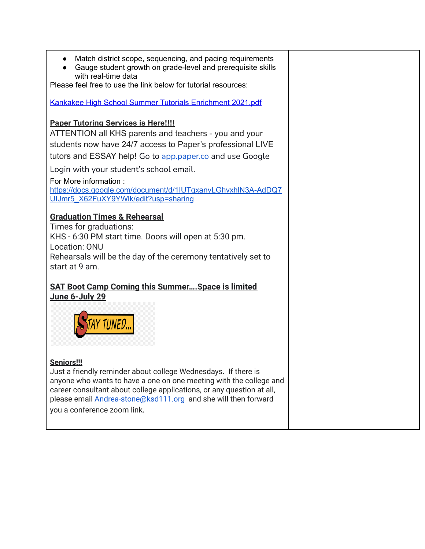- Match district scope, sequencing, and pacing requirements
- Gauge student growth on grade-level and prerequisite skills with real-time data

Please feel free to use the link below for tutorial resources:

Kankakee High School Summer Tutorials [Enrichment](https://drive.google.com/file/d/1YHSQD3Z1dSq0FVrD8lVsIYhqvCOZpEUG/view?usp=sharing) 2021.pdf

#### **Paper Tutoring Services is Here!!!!**

ATTENTION all KHS parents and teachers - you and your students now have 24/7 access to Paper's professional LIVE tutors and ESSAY help! Go to [app.paper.co](http://app.paper.co/) and use Google

Login with your student's school email.

For More information :

[https://docs.google.com/document/d/1IUTgxanvLGhvxhlN3A-AdDQ7](https://docs.google.com/document/d/1IUTgxanvLGhvxhlN3A-AdDQ7UIJmr5_X62FuXY9YWlk/edit?usp=sharing) [UIJmr5\\_X62FuXY9YWlk/edit?usp=sharing](https://docs.google.com/document/d/1IUTgxanvLGhvxhlN3A-AdDQ7UIJmr5_X62FuXY9YWlk/edit?usp=sharing)

### **Graduation Times & Rehearsal**

Times for graduations: KHS - 6:30 PM start time. Doors will open at 5:30 pm. Location: ONU Rehearsals will be the day of the ceremony tentatively set to start at 9 am.

#### **SAT Boot Camp Coming this Summer….Space is limited June 6-July 29**



#### **Seniors!!!**

Just a friendly reminder about college Wednesdays. If there is anyone who wants to have a one on one meeting with the college and career consultant about college applications, or any question at all, please email Andrea-stone@ksd111.org and she will then forward you a conference zoom link.